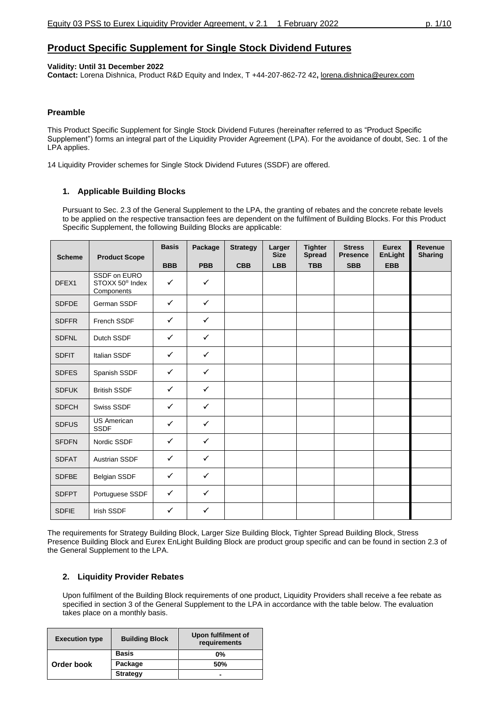## **Product Specific Supplement for Single Stock Dividend Futures**

### **Validity: Until 31 December 2022**

**Contact:** Lorena Dishnica, Product R&D Equity and Index, T +44-207-862-72 42**,** [lorena.dishnica@eurex.com](mailto:lorena.dishnica@eurex.com)

### **Preamble**

This Product Specific Supplement for Single Stock Dividend Futures (hereinafter referred to as "Product Specific Supplement") forms an integral part of the Liquidity Provider Agreement (LPA). For the avoidance of doubt, Sec. 1 of the LPA applies.

14 Liquidity Provider schemes for Single Stock Dividend Futures (SSDF) are offered.

## **1. Applicable Building Blocks**

Pursuant to Sec. 2.3 of the General Supplement to the LPA, the granting of rebates and the concrete rebate levels to be applied on the respective transaction fees are dependent on the fulfilment of Building Blocks. For this Product Specific Supplement, the following Building Blocks are applicable:

| <b>Scheme</b> | <b>Product Scope</b>                                      | <b>Basis</b> | Package      | <b>Strategy</b> | Larger<br><b>Size</b> | <b>Tighter</b><br><b>Spread</b> | <b>Stress</b><br><b>Presence</b> | Eurex<br>EnLight | <b>Revenue</b><br><b>Sharing</b> |
|---------------|-----------------------------------------------------------|--------------|--------------|-----------------|-----------------------|---------------------------------|----------------------------------|------------------|----------------------------------|
|               |                                                           | <b>BBB</b>   | <b>PBB</b>   | <b>CBB</b>      | <b>LBB</b>            | <b>TBB</b>                      | <b>SBB</b>                       | <b>EBB</b>       |                                  |
| DFEX1         | SSDF on EURO<br>STOXX 50 <sup>®</sup> Index<br>Components | $\checkmark$ | $\checkmark$ |                 |                       |                                 |                                  |                  |                                  |
| <b>SDFDE</b>  | German SSDF                                               | $\checkmark$ | $\checkmark$ |                 |                       |                                 |                                  |                  |                                  |
| <b>SDFFR</b>  | French SSDF                                               | $\checkmark$ | $\checkmark$ |                 |                       |                                 |                                  |                  |                                  |
| <b>SDFNL</b>  | Dutch SSDF                                                | $\checkmark$ | $\checkmark$ |                 |                       |                                 |                                  |                  |                                  |
| <b>SDFIT</b>  | <b>Italian SSDF</b>                                       | $\checkmark$ | $\checkmark$ |                 |                       |                                 |                                  |                  |                                  |
| <b>SDFES</b>  | Spanish SSDF                                              | $\checkmark$ | $\checkmark$ |                 |                       |                                 |                                  |                  |                                  |
| <b>SDFUK</b>  | <b>British SSDF</b>                                       | $\checkmark$ | $\checkmark$ |                 |                       |                                 |                                  |                  |                                  |
| <b>SDFCH</b>  | Swiss SSDF                                                | $\checkmark$ | $\checkmark$ |                 |                       |                                 |                                  |                  |                                  |
| <b>SDFUS</b>  | <b>US American</b><br><b>SSDF</b>                         | $\checkmark$ | $\checkmark$ |                 |                       |                                 |                                  |                  |                                  |
| <b>SFDFN</b>  | Nordic SSDF                                               | $\checkmark$ | $\checkmark$ |                 |                       |                                 |                                  |                  |                                  |
| <b>SDFAT</b>  | Austrian SSDF                                             | $\checkmark$ | $\checkmark$ |                 |                       |                                 |                                  |                  |                                  |
| <b>SDFBE</b>  | Belgian SSDF                                              | $\checkmark$ | $\checkmark$ |                 |                       |                                 |                                  |                  |                                  |
| <b>SDFPT</b>  | Portuguese SSDF                                           | $\checkmark$ | $\checkmark$ |                 |                       |                                 |                                  |                  |                                  |
| <b>SDFIE</b>  | <b>Irish SSDF</b>                                         | ✓            | $\checkmark$ |                 |                       |                                 |                                  |                  |                                  |

The requirements for Strategy Building Block, Larger Size Building Block, Tighter Spread Building Block, Stress Presence Building Block and Eurex EnLight Building Block are product group specific and can be found in section 2.3 of the General Supplement to the LPA.

### **2. Liquidity Provider Rebates**

Upon fulfilment of the Building Block requirements of one product, Liquidity Providers shall receive a fee rebate as specified in section 3 of the General Supplement to the LPA in accordance with the table below. The evaluation takes place on a monthly basis.

| <b>Execution type</b> | <b>Building Block</b> | Upon fulfilment of<br>requirements |
|-----------------------|-----------------------|------------------------------------|
|                       | <b>Basis</b>          | $0\%$                              |
| Order book            | Package               | .50%                               |
|                       | <b>Strategy</b>       | -                                  |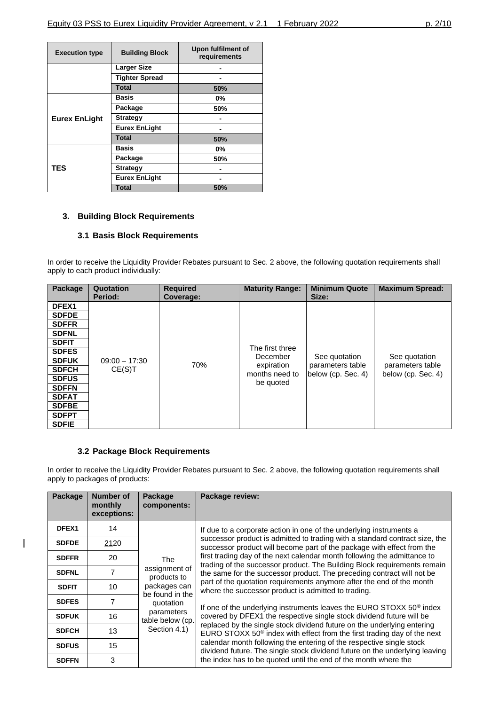| <b>Execution type</b> | <b>Building Block</b> | Upon fulfilment of<br>requirements |
|-----------------------|-----------------------|------------------------------------|
|                       | <b>Larger Size</b>    |                                    |
|                       | <b>Tighter Spread</b> |                                    |
|                       | <b>Total</b>          | 50%                                |
|                       | Basis                 | $0\%$                              |
|                       | Package               | 50%                                |
| <b>Eurex EnLight</b>  | <b>Strategy</b>       |                                    |
|                       | <b>Eurex EnLight</b>  |                                    |
|                       | Total                 | 50%                                |
|                       | Basis                 | $0\%$                              |
|                       | Package               | 50%                                |
| TES                   | <b>Strategy</b>       |                                    |
|                       | <b>Eurex EnLight</b>  |                                    |
|                       | <b>Total</b>          | 50%                                |

## **3. Building Block Requirements**

## **3.1 Basis Block Requirements**

In order to receive the Liquidity Provider Rebates pursuant to Sec. 2 above, the following quotation requirements shall apply to each product individually:

| Package      | Quotation<br>Period: | <b>Required</b><br>Coverage: | <b>Maturity Range:</b>      | <b>Minimum Quote</b><br>Size:     | <b>Maximum Spread:</b>            |
|--------------|----------------------|------------------------------|-----------------------------|-----------------------------------|-----------------------------------|
| DFEX1        |                      |                              |                             |                                   |                                   |
| <b>SDFDE</b> |                      |                              |                             |                                   |                                   |
| <b>SDFFR</b> |                      |                              |                             |                                   |                                   |
| <b>SDFNL</b> |                      |                              |                             |                                   |                                   |
| <b>SDFIT</b> |                      |                              |                             |                                   |                                   |
| <b>SDFES</b> |                      |                              | The first three<br>December |                                   |                                   |
| <b>SDFUK</b> | $09:00 - 17:30$      | 70%                          | expiration                  | See quotation<br>parameters table | See quotation<br>parameters table |
| <b>SDFCH</b> | CE(S)T               |                              | months need to              | below (cp. Sec. 4)                | below (cp. Sec. 4)                |
| <b>SDFUS</b> |                      |                              | be quoted                   |                                   |                                   |
| <b>SDFFN</b> |                      |                              |                             |                                   |                                   |
| <b>SDFAT</b> |                      |                              |                             |                                   |                                   |
| <b>SDFBE</b> |                      |                              |                             |                                   |                                   |
| <b>SDFPT</b> |                      |                              |                             |                                   |                                   |
| <b>SDFIE</b> |                      |                              |                             |                                   |                                   |

### **3.2 Package Block Requirements**

 $\overline{\phantom{a}}$ 

In order to receive the Liquidity Provider Rebates pursuant to Sec. 2 above, the following quotation requirements shall apply to packages of products:

| Package      | <b>Number of</b><br>monthly<br>exceptions: | Package<br>components:          | Package review:                                                                                                                                           |
|--------------|--------------------------------------------|---------------------------------|-----------------------------------------------------------------------------------------------------------------------------------------------------------|
| DFEX1        | 14                                         |                                 | If due to a corporate action in one of the underlying instruments a                                                                                       |
| <b>SDFDE</b> | 2120                                       |                                 | successor product is admitted to trading with a standard contract size, the<br>successor product will become part of the package with effect from the     |
| <b>SDFFR</b> | 20                                         | The                             | first trading day of the next calendar month following the admittance to<br>trading of the successor product. The Building Block requirements remain      |
| <b>SDFNL</b> | 7                                          | assignment of<br>products to    | the same for the successor product. The preceding contract will not be                                                                                    |
| <b>SDFIT</b> | 10                                         | packages can<br>be found in the | part of the quotation requirements anymore after the end of the month<br>where the successor product is admitted to trading.                              |
| <b>SDFES</b> | 7                                          | quotation                       | If one of the underlying instruments leaves the EURO STOXX $50^{\circ}$ index                                                                             |
| <b>SDFUK</b> | 16                                         | parameters<br>table below (cp.  | covered by DFEX1 the respective single stock dividend future will be                                                                                      |
| <b>SDFCH</b> | 13                                         | Section 4.1)                    | replaced by the single stock dividend future on the underlying entering<br>EURO STOXX $50^\circ$ index with effect from the first trading day of the next |
| <b>SDFUS</b> | 15                                         |                                 | calendar month following the entering of the respective single stock<br>dividend future. The single stock dividend future on the underlying leaving       |
| <b>SDFFN</b> | 3                                          |                                 | the index has to be quoted until the end of the month where the                                                                                           |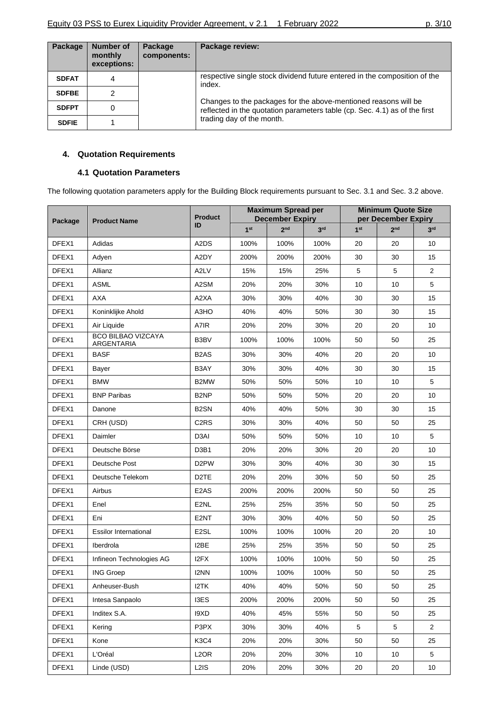| Package      | Number of<br>monthly<br>exceptions: | Package<br>components: | Package review:                                                                                                                               |
|--------------|-------------------------------------|------------------------|-----------------------------------------------------------------------------------------------------------------------------------------------|
| <b>SDFAT</b> | 4                                   |                        | respective single stock dividend future entered in the composition of the<br>index.                                                           |
| <b>SDFBE</b> |                                     |                        |                                                                                                                                               |
| <b>SDFPT</b> |                                     |                        | Changes to the packages for the above-mentioned reasons will be<br>reflected in the quotation parameters table (cp. Sec. 4.1) as of the first |
| <b>SDFIE</b> |                                     |                        | trading day of the month.                                                                                                                     |

# **4. Quotation Requirements**

## **4.1 Quotation Parameters**

The following quotation parameters apply for the Building Block requirements pursuant to Sec. 3.1 and Sec. 3.2 above.

| Package | <b>Product Name</b>              | <b>Product</b>                |                 | <b>Maximum Spread per</b><br><b>December Expiry</b> |                 |                 | <b>Minimum Quote Size</b><br>per December Expiry |                 |  |
|---------|----------------------------------|-------------------------------|-----------------|-----------------------------------------------------|-----------------|-----------------|--------------------------------------------------|-----------------|--|
|         |                                  | ID                            | 1 <sup>st</sup> | 2 <sub>nd</sub>                                     | 3 <sup>rd</sup> | 1 <sup>st</sup> | 2 <sub>nd</sub>                                  | 3 <sup>rd</sup> |  |
| DFEX1   | Adidas                           | A2DS                          | 100%            | 100%                                                | 100%            | 20              | 20                                               | 10              |  |
| DFEX1   | Adyen                            | A2DY                          | 200%            | 200%                                                | 200%            | 30              | 30                                               | 15              |  |
| DFEX1   | Allianz                          | A2LV                          | 15%             | 15%                                                 | 25%             | 5               | 5                                                | $\overline{2}$  |  |
| DFEX1   | <b>ASML</b>                      | A2SM                          | 20%             | 20%                                                 | 30%             | 10              | 10                                               | 5               |  |
| DFEX1   | <b>AXA</b>                       | A2XA                          | 30%             | 30%                                                 | 40%             | 30              | 30                                               | 15              |  |
| DFEX1   | Koninklijke Ahold                | A3HO                          | 40%             | 40%                                                 | 50%             | 30              | 30                                               | 15              |  |
| DFEX1   | Air Liquide                      | A7IR                          | 20%             | 20%                                                 | 30%             | 20              | 20                                               | 10              |  |
| DFEX1   | BCO BILBAO VIZCAYA<br>ARGENTARIA | B3BV                          | 100%            | 100%                                                | 100%            | 50              | 50                                               | 25              |  |
| DFEX1   | <b>BASF</b>                      | B <sub>2</sub> AS             | 30%             | 30%                                                 | 40%             | 20              | 20                                               | 10              |  |
| DFEX1   | Bayer                            | B3AY                          | 30%             | 30%                                                 | 40%             | 30              | 30                                               | 15              |  |
| DFEX1   | <b>BMW</b>                       | B2MW                          | 50%             | 50%                                                 | 50%             | 10              | 10                                               | 5               |  |
| DFEX1   | <b>BNP Paribas</b>               | B <sub>2</sub> NP             | 50%             | 50%                                                 | 50%             | 20              | 20                                               | 10              |  |
| DFEX1   | Danone                           | B <sub>2</sub> SN             | 40%             | 40%                                                 | 50%             | 30              | 30                                               | 15              |  |
| DFEX1   | CRH (USD)                        | C <sub>2</sub> R <sub>S</sub> | 30%             | 30%                                                 | 40%             | 50              | 50                                               | 25              |  |
| DFEX1   | Daimler                          | D3AI                          | 50%             | 50%                                                 | 50%             | 10              | 10                                               | 5               |  |
| DFEX1   | Deutsche Börse                   | D <sub>3</sub> B <sub>1</sub> | 20%             | 20%                                                 | 30%             | 20              | 20                                               | 10              |  |
| DFEX1   | Deutsche Post                    | D <sub>2</sub> PW             | 30%             | 30%                                                 | 40%             | 30              | 30                                               | 15              |  |
| DFEX1   | Deutsche Telekom                 | D <sub>2</sub> TE             | 20%             | 20%                                                 | 30%             | 50              | 50                                               | 25              |  |
| DFEX1   | Airbus                           | E <sub>2</sub> A <sub>S</sub> | 200%            | 200%                                                | 200%            | 50              | 50                                               | 25              |  |
| DFEX1   | Enel                             | E <sub>2NL</sub>              | 25%             | 25%                                                 | 35%             | 50              | 50                                               | 25              |  |
| DFEX1   | Eni                              | E2NT                          | 30%             | 30%                                                 | 40%             | 50              | 50                                               | 25              |  |
| DFEX1   | <b>Essilor International</b>     | E <sub>2</sub> SL             | 100%            | 100%                                                | 100%            | 20              | 20                                               | 10              |  |
| DFEX1   | Iberdrola                        | I2BE                          | 25%             | 25%                                                 | 35%             | 50              | 50                                               | 25              |  |
| DFEX1   | Infineon Technologies AG         | I <sub>2</sub> FX             | 100%            | 100%                                                | 100%            | 50              | 50                                               | 25              |  |
| DFEX1   | <b>ING Groep</b>                 | I2NN                          | 100%            | 100%                                                | 100%            | 50              | 50                                               | 25              |  |
| DFEX1   | Anheuser-Bush                    | I2TK                          | 40%             | 40%                                                 | 50%             | 50              | 50                                               | 25              |  |
| DFEX1   | Intesa Sanpaolo                  | I3ES                          | 200%            | 200%                                                | 200%            | 50              | 50                                               | 25              |  |
| DFEX1   | Inditex S.A.                     | 19XD                          | 40%             | 45%                                                 | 55%             | 50              | 50                                               | 25              |  |
| DFEX1   | Kering                           | P3PX                          | 30%             | 30%                                                 | 40%             | 5               | 5                                                | $\overline{2}$  |  |
| DFEX1   | Kone                             | K3C4                          | 20%             | 20%                                                 | 30%             | 50              | 50                                               | 25              |  |
| DFEX1   | L'Oréal                          | L <sub>2</sub> OR             | 20%             | 20%                                                 | 30%             | 10              | 10                                               | 5               |  |
| DFEX1   | Linde (USD)                      | L <sub>2</sub> IS             | 20%             | 20%                                                 | 30%             | 20              | 20                                               | 10              |  |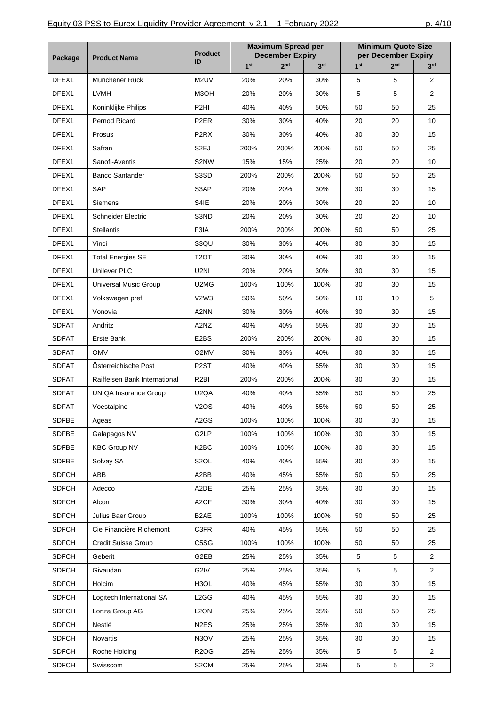| Package      |                               | <b>Product</b>                |                 | <b>Maximum Spread per</b><br><b>December Expiry</b> |                 |                 | <b>Minimum Quote Size</b><br>per December Expiry |                 |
|--------------|-------------------------------|-------------------------------|-----------------|-----------------------------------------------------|-----------------|-----------------|--------------------------------------------------|-----------------|
|              | <b>Product Name</b>           | ID                            | 1 <sup>st</sup> | 2 <sub>nd</sub>                                     | 3 <sup>rd</sup> | 1 <sup>st</sup> | 2 <sub>nd</sub>                                  | 3 <sup>rd</sup> |
| DFEX1        | Münchener Rück                | M2UV                          | 20%             | 20%                                                 | 30%             | 5               | 5                                                | $\overline{2}$  |
| DFEX1        | <b>LVMH</b>                   | M3OH                          | 20%             | 20%                                                 | 30%             | 5               | 5                                                | $\overline{2}$  |
| DFEX1        | Koninklijke Philips           | P <sub>2HI</sub>              | 40%             | 40%                                                 | 50%             | 50              | 50                                               | 25              |
| DFEX1        | Pernod Ricard                 | P <sub>2</sub> ER             | 30%             | 30%                                                 | 40%             | 20              | 20                                               | 10              |
| DFEX1        | Prosus                        | P <sub>2</sub> R <sub>X</sub> | 30%             | 30%                                                 | 40%             | 30              | 30                                               | 15              |
| DFEX1        | Safran                        | S <sub>2E</sub> J             | 200%            | 200%                                                | 200%            | 50              | 50                                               | 25              |
| DFEX1        | Sanofi-Aventis                | S2NW                          | 15%             | 15%                                                 | 25%             | 20              | 20                                               | 10              |
| DFEX1        | <b>Banco Santander</b>        | S3SD                          | 200%            | 200%                                                | 200%            | 50              | 50                                               | 25              |
| DFEX1        | SAP                           | S3AP                          | 20%             | 20%                                                 | 30%             | 30              | 30                                               | 15              |
| DFEX1        | Siemens                       | S4IE                          | 20%             | 20%                                                 | 30%             | 20              | 20                                               | 10              |
| DFEX1        | <b>Schneider Electric</b>     | S3ND                          | 20%             | 20%                                                 | 30%             | 20              | 20                                               | 10              |
| DFEX1        | <b>Stellantis</b>             | F3IA                          | 200%            | 200%                                                | 200%            | 50              | 50                                               | 25              |
| DFEX1        | Vinci                         | S3QU                          | 30%             | 30%                                                 | 40%             | 30              | 30                                               | 15              |
| DFEX1        | <b>Total Energies SE</b>      | T <sub>2</sub> OT             | 30%             | 30%                                                 | 40%             | 30              | 30                                               | 15              |
| DFEX1        | Unilever PLC                  | U2NI                          | 20%             | 20%                                                 | 30%             | 30              | 30                                               | 15              |
| DFEX1        | Universal Music Group         | U2MG                          | 100%            | 100%                                                | 100%            | 30              | 30                                               | 15              |
| DFEX1        | Volkswagen pref.              | V2W3                          | 50%             | 50%                                                 | 50%             | 10              | 10                                               | 5               |
| DFEX1        | Vonovia                       | A2NN                          | 30%             | 30%                                                 | 40%             | 30              | 30                                               | 15              |
| <b>SDFAT</b> | Andritz                       | A2NZ                          | 40%             | 40%                                                 | 55%             | 30              | 30                                               | 15              |
| <b>SDFAT</b> | Erste Bank                    | E2BS                          | 200%            | 200%                                                | 200%            | 30              | 30                                               | 15              |
| <b>SDFAT</b> | <b>OMV</b>                    | O <sub>2</sub> MV             | 30%             | 30%                                                 | 40%             | 30              | 30                                               | 15              |
| <b>SDFAT</b> | Österreichische Post          | P <sub>2</sub> ST             | 40%             | 40%                                                 | 55%             | 30              | 30                                               | 15              |
| <b>SDFAT</b> | Raiffeisen Bank International | R <sub>2</sub> BI             | 200%            | 200%                                                | 200%            | 30              | 30                                               | 15              |
| <b>SDFAT</b> | UNIQA Insurance Group         | U <sub>2</sub> QA             | 40%             | 40%                                                 | 55%             | 50              | 50                                               | 25              |
| <b>SDFAT</b> | Voestalpine                   | <b>V2OS</b>                   | 40%             | 40%                                                 | 55%             | 50              | 50                                               | 25              |
| <b>SDFBE</b> | Ageas                         | A <sub>2</sub> GS             | 100%            | 100%                                                | 100%            | 30              | 30                                               | 15              |
| <b>SDFBE</b> | Galapagos NV                  | G2LP                          | 100%            | 100%                                                | 100%            | 30              | 30                                               | 15              |
| <b>SDFBE</b> | <b>KBC Group NV</b>           | K <sub>2</sub> BC             | 100%            | 100%                                                | 100%            | 30              | 30                                               | 15              |
| <b>SDFBE</b> | Solvay SA                     | S <sub>2</sub> OL             | 40%             | 40%                                                 | 55%             | 30              | 30                                               | 15              |
| <b>SDFCH</b> | ABB                           | A2BB                          | 40%             | 45%                                                 | 55%             | 50              | 50                                               | 25              |
| <b>SDFCH</b> | Adecco                        | A2DE                          | 25%             | 25%                                                 | 35%             | 30              | 30                                               | 15              |
| <b>SDFCH</b> | Alcon                         | A <sub>2</sub> CF             | 30%             | 30%                                                 | 40%             | 30              | 30                                               | 15              |
| <b>SDFCH</b> | Julius Baer Group             | B <sub>2</sub> AE             | 100%            | 100%                                                | 100%            | 50              | 50                                               | 25              |
| <b>SDFCH</b> | Cie Financière Richemont      | C3FR                          | 40%             | 45%                                                 | 55%             | 50              | 50                                               | 25              |
| <b>SDFCH</b> | Credit Suisse Group           | C5SG                          | 100%            | 100%                                                | 100%            | 50              | 50                                               | 25              |
| <b>SDFCH</b> | Geberit                       | G2EB                          | 25%             | 25%                                                 | 35%             | 5               | 5                                                | $\overline{2}$  |
| <b>SDFCH</b> | Givaudan                      | G2IV                          | 25%             | 25%                                                 | 35%             | 5               | 5                                                | $\overline{2}$  |
| <b>SDFCH</b> | Holcim                        | H3OL                          | 40%             | 45%                                                 | 55%             | 30              | 30                                               | 15              |
| <b>SDFCH</b> | Logitech International SA     | L <sub>2</sub> GG             | 40%             | 45%                                                 | 55%             | 30              | 30                                               | 15              |
| <b>SDFCH</b> | Lonza Group AG                | L <sub>2</sub> ON             | 25%             | 25%                                                 | 35%             | 50              | 50                                               | 25              |
| <b>SDFCH</b> | Nestlé                        | N <sub>2</sub> ES             | 25%             | 25%                                                 | 35%             | 30              | 30                                               | 15              |
| <b>SDFCH</b> | Novartis                      | N3OV                          | 25%             | 25%                                                 | 35%             | 30              | 30                                               | 15              |
| <b>SDFCH</b> | Roche Holding                 | <b>R2OG</b>                   | 25%             | 25%                                                 | 35%             | 5               | 5                                                | $\overline{c}$  |
| <b>SDFCH</b> | Swisscom                      | S <sub>2</sub> CM             | 25%             | 25%                                                 | 35%             | 5               | 5                                                | $\overline{2}$  |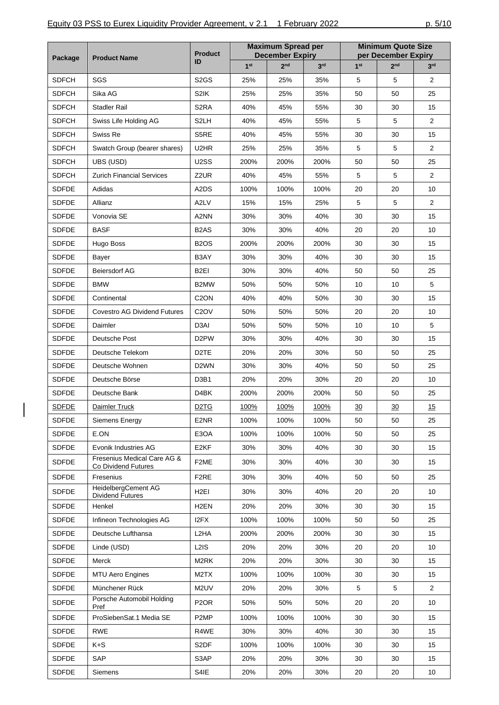| Package      |                                                    | <b>Maximum Spread per</b><br><b>Product</b><br><b>December Expiry</b><br>ID<br>1 <sup>st</sup><br>2 <sub>nd</sub><br>3 <sup>rd</sup> |      | <b>Minimum Quote Size</b><br>per December Expiry |      |                 |                 |                 |
|--------------|----------------------------------------------------|--------------------------------------------------------------------------------------------------------------------------------------|------|--------------------------------------------------|------|-----------------|-----------------|-----------------|
|              | <b>Product Name</b>                                |                                                                                                                                      |      |                                                  |      | 1 <sup>st</sup> | 2 <sub>nd</sub> | 3 <sup>rd</sup> |
| <b>SDFCH</b> | SGS                                                | S <sub>2</sub> GS                                                                                                                    | 25%  | 25%                                              | 35%  | 5               | 5               | $\overline{2}$  |
| <b>SDFCH</b> | Sika AG                                            | S2IK                                                                                                                                 | 25%  | 25%                                              | 35%  | 50              | 50              | 25              |
| <b>SDFCH</b> | <b>Stadler Rail</b>                                | S <sub>2</sub> RA                                                                                                                    | 40%  | 45%                                              | 55%  | 30              | 30              | 15              |
| <b>SDFCH</b> | Swiss Life Holding AG                              | S <sub>2</sub> LH                                                                                                                    | 40%  | 45%                                              | 55%  | 5               | 5               | $\overline{2}$  |
| <b>SDFCH</b> | Swiss Re                                           | S5RE                                                                                                                                 | 40%  | 45%                                              | 55%  | 30              | 30              | 15              |
| <b>SDFCH</b> | Swatch Group (bearer shares)                       | U <sub>2</sub> HR                                                                                                                    | 25%  | 25%                                              | 35%  | 5               | 5               | $\overline{2}$  |
| <b>SDFCH</b> | UBS (USD)                                          | U2SS                                                                                                                                 | 200% | 200%                                             | 200% | 50              | 50              | 25              |
| <b>SDFCH</b> | <b>Zurich Financial Services</b>                   | Z <sub>2</sub> UR                                                                                                                    | 40%  | 45%                                              | 55%  | 5               | 5               | $\overline{2}$  |
| <b>SDFDE</b> | Adidas                                             | A2DS                                                                                                                                 | 100% | 100%                                             | 100% | 20              | 20              | 10              |
| <b>SDFDE</b> | Allianz                                            | A2LV                                                                                                                                 | 15%  | 15%                                              | 25%  | 5               | 5               | $\overline{2}$  |
| <b>SDFDE</b> | Vonovia SE                                         | A2NN                                                                                                                                 | 30%  | 30%                                              | 40%  | 30              | 30              | 15              |
| <b>SDFDE</b> | <b>BASF</b>                                        | B <sub>2</sub> AS                                                                                                                    | 30%  | 30%                                              | 40%  | 20              | 20              | 10              |
| <b>SDFDE</b> | Hugo Boss                                          | B <sub>2</sub> O <sub>S</sub>                                                                                                        | 200% | 200%                                             | 200% | 30              | 30              | 15              |
| <b>SDFDE</b> | Bayer                                              | B3AY                                                                                                                                 | 30%  | 30%                                              | 40%  | 30              | 30              | 15              |
| <b>SDFDE</b> | Beiersdorf AG                                      | B2EI                                                                                                                                 | 30%  | 30%                                              | 40%  | 50              | 50              | 25              |
| <b>SDFDE</b> | <b>BMW</b>                                         | B <sub>2</sub> MW                                                                                                                    | 50%  | 50%                                              | 50%  | 10              | 10              | 5               |
| <b>SDFDE</b> | Continental                                        | C <sub>2</sub> ON                                                                                                                    | 40%  | 40%                                              | 50%  | 30              | 30              | 15              |
| <b>SDFDE</b> | <b>Covestro AG Dividend Futures</b>                | C <sub>2</sub> OV                                                                                                                    | 50%  | 50%                                              | 50%  | 20              | 20              | 10              |
| <b>SDFDE</b> | Daimler                                            | D <sub>3</sub> AI                                                                                                                    | 50%  | 50%                                              | 50%  | 10              | 10              | 5               |
| <b>SDFDE</b> | Deutsche Post                                      | D <sub>2</sub> PW                                                                                                                    | 30%  | 30%                                              | 40%  | 30              | 30              | 15              |
| <b>SDFDE</b> | Deutsche Telekom                                   | D <sub>2</sub> TE                                                                                                                    | 20%  | 20%                                              | 30%  | 50              | 50              | 25              |
| <b>SDFDE</b> | Deutsche Wohnen                                    | D <sub>2</sub> WN                                                                                                                    | 30%  | 30%                                              | 40%  | 50              | 50              | 25              |
| <b>SDFDE</b> | Deutsche Börse                                     | D3B1                                                                                                                                 | 20%  | 20%                                              | 30%  | 20              | 20              | 10              |
| <b>SDFDE</b> | Deutsche Bank                                      | D4BK                                                                                                                                 | 200% | 200%                                             | 200% | 50              | 50              | 25              |
| <b>SDFDE</b> | Daimler Truck                                      | D <sub>2</sub> T <sub>G</sub>                                                                                                        | 100% | 100%                                             | 100% | 30              | 30              | 15              |
| <b>SDFDE</b> | Siemens Energy                                     | E2NR                                                                                                                                 | 100% | 100%                                             | 100% | 50              | 50              | 25              |
| <b>SDFDE</b> | E.ON                                               | E3OA                                                                                                                                 | 100% | 100%                                             | 100% | 50              | 50              | 25              |
| <b>SDFDE</b> | Evonik Industries AG                               | E <sub>2KF</sub>                                                                                                                     | 30%  | 30%                                              | 40%  | 30              | 30              | 15              |
| <b>SDFDE</b> | Fresenius Medical Care AG &<br>Co Dividend Futures | F <sub>2</sub> ME                                                                                                                    | 30%  | 30%                                              | 40%  | 30              | 30              | 15              |
| <b>SDFDE</b> | Fresenius                                          | F <sub>2</sub> RE                                                                                                                    | 30%  | 30%                                              | 40%  | 50              | 50              | 25              |
| <b>SDFDE</b> | HeidelbergCement AG                                | H <sub>2</sub> EI                                                                                                                    | 30%  | 30%                                              | 40%  | 20              | 20              | 10              |
| <b>SDFDE</b> | <b>Dividend Futures</b><br>Henkel                  | H <sub>2</sub> EN                                                                                                                    | 20%  | 20%                                              | 30%  | 30              | 30              | 15              |
| <b>SDFDE</b> | Infineon Technologies AG                           | I2FX                                                                                                                                 | 100% | 100%                                             | 100% | 50              | 50              | 25              |
| <b>SDFDE</b> | Deutsche Lufthansa                                 | L2HA                                                                                                                                 | 200% | 200%                                             | 200% | 30              | 30              | 15              |
| <b>SDFDE</b> | Linde (USD)                                        | L <sub>2</sub> IS                                                                                                                    | 20%  | 20%                                              | 30%  | 20              | 20              | 10              |
| <b>SDFDE</b> | Merck                                              | M2RK                                                                                                                                 | 20%  | 20%                                              | 30%  | 30              | 30              | 15              |
| <b>SDFDE</b> | <b>MTU Aero Engines</b>                            | M2TX                                                                                                                                 | 100% | 100%                                             | 100% | 30              | 30              | 15              |
| <b>SDFDE</b> | Münchener Rück                                     | M2UV                                                                                                                                 | 20%  | 20%                                              | 30%  | 5               | 5               | $\overline{2}$  |
| <b>SDFDE</b> | Porsche Automobil Holding                          | P <sub>2</sub> OR                                                                                                                    | 50%  | 50%                                              | 50%  | 20              | 20              | 10              |
| <b>SDFDE</b> | Pref<br>ProSiebenSat.1 Media SE                    | P <sub>2</sub> MP                                                                                                                    | 100% | 100%                                             | 100% | 30              | 30              | 15              |
| <b>SDFDE</b> | <b>RWE</b>                                         | R4WE                                                                                                                                 | 30%  | 30%                                              | 40%  | 30              | 30              | 15              |
| <b>SDFDE</b> | K+S                                                | S <sub>2</sub> DF                                                                                                                    | 100% | 100%                                             | 100% | 30              | 30              | 15              |
| <b>SDFDE</b> | SAP                                                | S3AP                                                                                                                                 | 20%  | 20%                                              | 30%  | 30              | 30              | 15              |
| <b>SDFDE</b> | Siemens                                            | S4IE                                                                                                                                 | 20%  | 20%                                              | 30%  | 20              | 20              | 10              |
|              |                                                    |                                                                                                                                      |      |                                                  |      |                 |                 |                 |

 $\begin{array}{c} \hline \end{array}$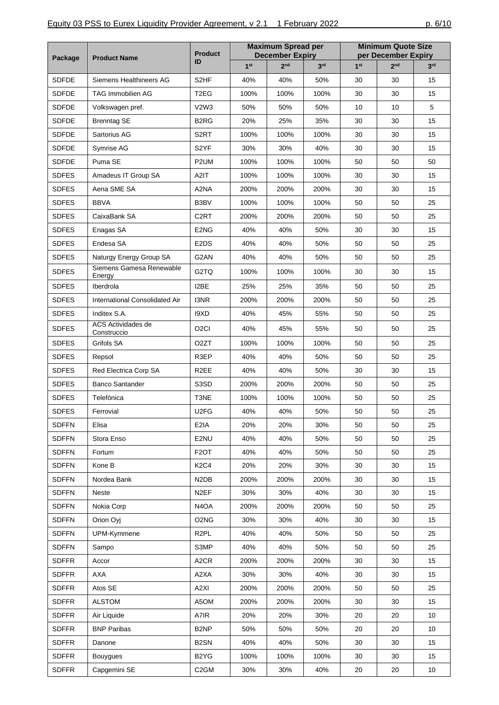|              |                                    | <b>Product</b>                |                 | <b>Maximum Spread per</b><br><b>December Expiry</b> |                 |                 | <b>Minimum Quote Size</b><br>per December Expiry |                 |  |
|--------------|------------------------------------|-------------------------------|-----------------|-----------------------------------------------------|-----------------|-----------------|--------------------------------------------------|-----------------|--|
| Package      | <b>Product Name</b>                | ID                            | 1 <sup>st</sup> | 2 <sub>nd</sub>                                     | 3 <sup>rd</sup> | 1 <sup>st</sup> | 2 <sub>nd</sub>                                  | 3 <sup>rd</sup> |  |
| <b>SDFDE</b> | Siemens Healthineers AG            | S <sub>2</sub> HF             | 40%             | 40%                                                 | 50%             | 30              | 30                                               | 15              |  |
| <b>SDFDE</b> | <b>TAG Immobilien AG</b>           | T <sub>2</sub> EG             | 100%            | 100%                                                | 100%            | 30              | 30                                               | 15              |  |
| <b>SDFDE</b> | Volkswagen pref.                   | V <sub>2</sub> W <sub>3</sub> | 50%             | 50%                                                 | 50%             | 10              | 10                                               | 5               |  |
| <b>SDFDE</b> | <b>Brenntag SE</b>                 | B <sub>2</sub> RG             | 20%             | 25%                                                 | 35%             | 30              | 30                                               | 15              |  |
| <b>SDFDE</b> | Sartorius AG                       | S <sub>2</sub> RT             | 100%            | 100%                                                | 100%            | 30              | 30                                               | 15              |  |
| <b>SDFDE</b> | Symrise AG                         | S2YF                          | 30%             | 30%                                                 | 40%             | 30              | 30                                               | 15              |  |
| <b>SDFDE</b> | Puma SE                            | P <sub>2</sub> UM             | 100%            | 100%                                                | 100%            | 50              | 50                                               | 50              |  |
| <b>SDFES</b> | Amadeus IT Group SA                | A <sub>2</sub> IT             | 100%            | 100%                                                | 100%            | 30              | 30                                               | 15              |  |
| <b>SDFES</b> | Aena SME SA                        | A2NA                          | 200%            | 200%                                                | 200%            | 30              | 30                                               | 15              |  |
| <b>SDFES</b> | <b>BBVA</b>                        | B3BV                          | 100%            | 100%                                                | 100%            | 50              | 50                                               | 25              |  |
| <b>SDFES</b> | CaixaBank SA                       | C <sub>2</sub> RT             | 200%            | 200%                                                | 200%            | 50              | 50                                               | 25              |  |
| <b>SDFES</b> | Enagas SA                          | E2NG                          | 40%             | 40%                                                 | 50%             | 30              | 30                                               | 15              |  |
| <b>SDFES</b> | Endesa SA                          | E <sub>2</sub> D <sub>S</sub> | 40%             | 40%                                                 | 50%             | 50              | 50                                               | 25              |  |
| <b>SDFES</b> | Naturgy Energy Group SA            | G2AN                          | 40%             | 40%                                                 | 50%             | 50              | 50                                               | 25              |  |
| <b>SDFES</b> | Siemens Gamesa Renewable<br>Energy | G2TQ                          | 100%            | 100%                                                | 100%            | 30              | 30                                               | 15              |  |
| <b>SDFES</b> | Iberdrola                          | I2BE                          | 25%             | 25%                                                 | 35%             | 50              | 50                                               | 25              |  |
| <b>SDFES</b> | International Consolidated Air     | I3NR                          | 200%            | 200%                                                | 200%            | 50              | 50                                               | 25              |  |
| <b>SDFES</b> | Inditex S.A.                       | I9XD                          | 40%             | 45%                                                 | 55%             | 50              | 50                                               | 25              |  |
| <b>SDFES</b> | ACS Actividades de                 | O <sub>2</sub> CI             | 40%             | 45%                                                 | 55%             | 50              | 50                                               | 25              |  |
| <b>SDFES</b> | Construccio<br>Grifols SA          | O <sub>2</sub> ZT             | 100%            | 100%                                                | 100%            | 50              | 50                                               | 25              |  |
| <b>SDFES</b> | Repsol                             | R3EP                          | 40%             | 40%                                                 | 50%             | 50              | 50                                               | 25              |  |
| <b>SDFES</b> | Red Electrica Corp SA              | R <sub>2</sub> EE             | 40%             | 40%                                                 | 50%             | 30              | 30                                               | 15              |  |
| <b>SDFES</b> | <b>Banco Santander</b>             | S3SD                          | 200%            | 200%                                                | 200%            | 50              | 50                                               | 25              |  |
| <b>SDFES</b> | Telefónica                         | T3NE                          | 100%            | 100%                                                | 100%            | 50              | 50                                               | 25              |  |
| <b>SDFES</b> | Ferrovial                          | U2FG                          | 40%             | 40%                                                 | 50%             | 50              | 50                                               | 25              |  |
| <b>SDFFN</b> | Elisa                              | E2IA                          | 20%             | 20%                                                 | 30%             | 50              | 50                                               | 25              |  |
| <b>SDFFN</b> | Stora Enso                         | E2NU                          | 40%             | 40%                                                 | 50%             | 50              | 50                                               | 25              |  |
| <b>SDFFN</b> | Fortum                             | F <sub>2</sub> OT             | 40%             | 40%                                                 | 50%             | 50              | 50                                               | 25              |  |
| <b>SDFFN</b> | Kone B                             | K <sub>2</sub> C <sub>4</sub> | 20%             | 20%                                                 | 30%             | 30              | 30                                               | 15              |  |
| <b>SDFFN</b> | Nordea Bank                        | N <sub>2</sub> D <sub>B</sub> | 200%            | 200%                                                | 200%            | 30              | 30                                               | 15              |  |
| <b>SDFFN</b> | Neste                              | N <sub>2</sub> EF             | 30%             | 30%                                                 | 40%             | 30              | 30                                               | 15              |  |
| <b>SDFFN</b> | Nokia Corp                         | N4OA                          | 200%            | 200%                                                | 200%            | 50              | 50                                               | 25              |  |
| <b>SDFFN</b> | Orion Oyj                          | O <sub>2</sub> N <sub>G</sub> | 30%             | 30%                                                 | 40%             | 30              | 30                                               | 15              |  |
| <b>SDFFN</b> | UPM-Kymmene                        | R <sub>2</sub> PL             | 40%             | 40%                                                 | 50%             | 50              | 50                                               | 25              |  |
| <b>SDFFN</b> | Sampo                              | S3MP                          | 40%             | 40%                                                 | 50%             | 50              | 50                                               | 25              |  |
| <b>SDFFR</b> | Accor                              | A <sub>2</sub> CR             | 200%            | 200%                                                | 200%            | 30              | 30                                               | 15              |  |
| <b>SDFFR</b> | AXA                                | A2XA                          | 30%             | 30%                                                 | 40%             | 30              | 30                                               | 15              |  |
| <b>SDFFR</b> | Atos SE                            | A2XI                          | 200%            | 200%                                                | 200%            | 50              | 50                                               | 25              |  |
| <b>SDFFR</b> | <b>ALSTOM</b>                      | A5OM                          | 200%            | 200%                                                | 200%            | 30              | 30                                               | 15              |  |
| <b>SDFFR</b> | Air Liquide                        | A7IR                          | 20%             | 20%                                                 | 30%             | 20              | 20                                               | 10              |  |
| <b>SDFFR</b> | <b>BNP Paribas</b>                 | B <sub>2</sub> NP             | 50%             | 50%                                                 | 50%             | 20              | 20                                               | 10              |  |
| <b>SDFFR</b> | Danone                             | B <sub>2</sub> SN             | 40%             | 40%                                                 | 50%             | 30              | 30                                               | 15              |  |
| <b>SDFFR</b> | <b>Bouygues</b>                    | B <sub>2</sub> Y <sub>G</sub> | 100%            | 100%                                                | 100%            | 30              | 30                                               | 15              |  |
| <b>SDFFR</b> | Capgemini SE                       | C <sub>2</sub> GM             | 30%             | 30%                                                 | 40%             | 20              | 20                                               | 10              |  |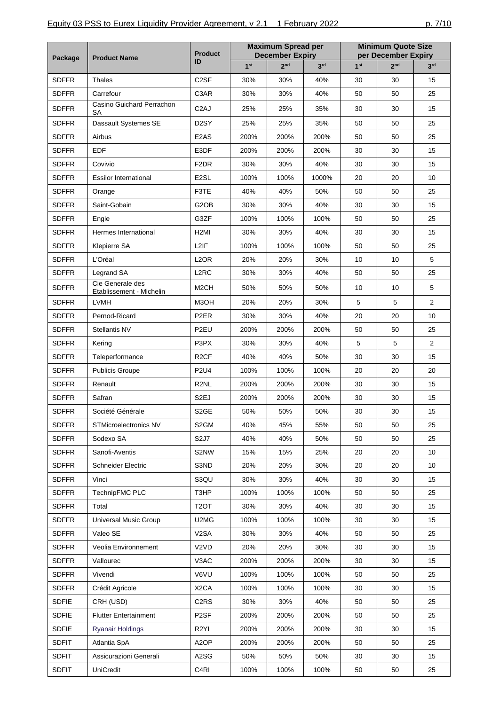| Package      | <b>Product Name</b>                          | <b>Product</b>                |                 | <b>Maximum Spread per</b><br><b>December Expiry</b> |                 |                 | <b>Minimum Quote Size</b><br>per December Expiry<br>2 <sub>nd</sub><br>30<br>50<br>30<br>50<br>50<br>30 |                 |
|--------------|----------------------------------------------|-------------------------------|-----------------|-----------------------------------------------------|-----------------|-----------------|---------------------------------------------------------------------------------------------------------|-----------------|
|              |                                              | ID                            | 1 <sup>st</sup> | 2 <sub>nd</sub>                                     | 3 <sup>rd</sup> | 1 <sup>st</sup> |                                                                                                         | 3 <sup>rd</sup> |
| <b>SDFFR</b> | Thales                                       | C <sub>2</sub> SF             | 30%             | 30%                                                 | 40%             | 30              |                                                                                                         | 15              |
| <b>SDFFR</b> | Carrefour                                    | C3AR                          | 30%             | 30%                                                 | 40%             | 50              |                                                                                                         | 25              |
| <b>SDFFR</b> | Casino Guichard Perrachon<br>SА              | C <sub>2</sub> AJ             | 25%             | 25%                                                 | 35%             | 30              |                                                                                                         | 15              |
| <b>SDFFR</b> | Dassault Systemes SE                         | D <sub>2</sub> SY             | 25%             | 25%                                                 | 35%             | 50              |                                                                                                         | 25              |
| <b>SDFFR</b> | Airbus                                       | E <sub>2</sub> AS             | 200%            | 200%                                                | 200%            | 50              |                                                                                                         | 25              |
| <b>SDFFR</b> | EDF                                          | E3DF                          | 200%            | 200%                                                | 200%            | 30              |                                                                                                         | 15              |
| <b>SDFFR</b> | Covivio                                      | F <sub>2</sub> DR             | 30%             | 30%                                                 | 40%             | 30              | 30                                                                                                      | 15              |
| <b>SDFFR</b> | <b>Essilor International</b>                 | E <sub>2</sub> SL             | 100%            | 100%                                                | 1000%           | 20              | 20                                                                                                      | 10              |
| <b>SDFFR</b> | Orange                                       | F3TE                          | 40%             | 40%                                                 | 50%             | 50              | 50                                                                                                      | 25              |
| <b>SDFFR</b> | Saint-Gobain                                 | G <sub>2</sub> O <sub>B</sub> | 30%             | 30%                                                 | 40%             | 30              | 30                                                                                                      | 15              |
| <b>SDFFR</b> | Engie                                        | G3ZF                          | 100%            | 100%                                                | 100%            | 50              | 50                                                                                                      | 25              |
| <b>SDFFR</b> | Hermes International                         | H <sub>2</sub> MI             | 30%             | 30%                                                 | 40%             | 30              | 30                                                                                                      | 15              |
| <b>SDFFR</b> | Klepierre SA                                 | L <sub>2</sub> IF             | 100%            | 100%                                                | 100%            | 50              | 50                                                                                                      | 25              |
| <b>SDFFR</b> | L'Oréal                                      | L <sub>2</sub> OR             | 20%             | 20%                                                 | 30%             | 10              | 10                                                                                                      | 5               |
| <b>SDFFR</b> | Legrand SA                                   | L <sub>2</sub> RC             | 30%             | 30%                                                 | 40%             | 50              | 50                                                                                                      | 25              |
| <b>SDFFR</b> | Cie Generale des<br>Etablissement - Michelin | M <sub>2</sub> CH             | 50%             | 50%                                                 | 50%             | 10              | 10                                                                                                      | 5               |
| <b>SDFFR</b> | <b>LVMH</b>                                  | M3OH                          | 20%             | 20%                                                 | 30%             | 5               | 5                                                                                                       | $\overline{2}$  |
| <b>SDFFR</b> | Pernod-Ricard                                | P <sub>2</sub> ER             | 30%             | 30%                                                 | 40%             | 20              | 20                                                                                                      | 10              |
| <b>SDFFR</b> | Stellantis NV                                | P <sub>2EU</sub>              | 200%            | 200%                                                | 200%            | 50              | 50                                                                                                      | 25              |
| <b>SDFFR</b> | Kering                                       | P3PX                          | 30%             | 30%                                                 | 40%             | 5               | 5                                                                                                       | $\overline{2}$  |
| <b>SDFFR</b> | Teleperformance                              | R <sub>2</sub> CF             | 40%             | 40%                                                 | 50%             | 30              | 30                                                                                                      | 15              |
| <b>SDFFR</b> | <b>Publicis Groupe</b>                       | <b>P2U4</b>                   | 100%            | 100%                                                | 100%            | 20              | 20                                                                                                      | 20              |
| <b>SDFFR</b> | Renault                                      | R <sub>2</sub> NL             | 200%            | 200%                                                | 200%            | 30              | 30                                                                                                      | 15              |
| <b>SDFFR</b> | Safran                                       | S <sub>2E</sub> J             | 200%            | 200%                                                | 200%            | 30              | 30                                                                                                      | 15              |
| <b>SDFFR</b> | Société Générale                             | S <sub>2</sub> GE             | 50%             | 50%                                                 | 50%             | 30              | 30                                                                                                      | 15              |
| <b>SDFFR</b> | STMicroelectronics NV                        | S2GM                          | 40%             | 45%                                                 | 55%             | 50              | 50                                                                                                      | 25              |
| <b>SDFFR</b> | Sodexo SA                                    | S <sub>2</sub> J <sub>7</sub> | 40%             | 40%                                                 | 50%             | 50              | 50                                                                                                      | 25              |
| <b>SDFFR</b> | Sanofi-Aventis                               | S2NW                          | 15%             | 15%                                                 | 25%             | 20              | 20                                                                                                      | 10              |
| <b>SDFFR</b> | Schneider Electric                           | S3ND                          | 20%             | 20%                                                 | 30%             | 20              | 20                                                                                                      | 10              |
| <b>SDFFR</b> | Vinci                                        | S3QU                          | 30%             | 30%                                                 | 40%             | 30              | 30                                                                                                      | 15              |
| <b>SDFFR</b> | TechnipFMC PLC                               | T3HP                          | 100%            | 100%                                                | 100%            | 50              | 50                                                                                                      | 25              |
| <b>SDFFR</b> | Total                                        | T <sub>2</sub> OT             | 30%             | 30%                                                 | 40%             | 30              | 30                                                                                                      | 15              |
| <b>SDFFR</b> | Universal Music Group                        | U2MG                          | 100%            | 100%                                                | 100%            | 30              | 30                                                                                                      | 15              |
| <b>SDFFR</b> | Valeo SE                                     | V <sub>2</sub> SA             | 30%             | 30%                                                 | 40%             | 50              | 50                                                                                                      | 25              |
| <b>SDFFR</b> | Veolia Environnement                         | V <sub>2</sub> V <sub>D</sub> | 20%             | 20%                                                 | 30%             | 30              | 30                                                                                                      | 15              |
| <b>SDFFR</b> | Vallourec                                    | V3AC                          | 200%            | 200%                                                | 200%            | 30              | 30                                                                                                      | 15              |
| <b>SDFFR</b> | Vivendi                                      | V6VU                          | 100%            | 100%                                                | 100%            | 50              | 50                                                                                                      | 25              |
| <b>SDFFR</b> | Crédit Agricole                              | X <sub>2</sub> CA             | 100%            | 100%                                                | 100%            | 30              | 30                                                                                                      | 15              |
| <b>SDFIE</b> | CRH (USD)                                    | C <sub>2</sub> RS             | 30%             | 30%                                                 | 40%             | 50              | 50                                                                                                      | 25              |
| <b>SDFIE</b> | <b>Flutter Entertainment</b>                 | P <sub>2</sub> SF             | 200%            | 200%                                                | 200%            | 50              | 50                                                                                                      | 25              |
| <b>SDFIE</b> | <b>Ryanair Holdings</b>                      | R <sub>2</sub> YI             | 200%            | 200%                                                | 200%            | 30              | 30                                                                                                      | 15              |
| <b>SDFIT</b> | Atlantia SpA                                 | A <sub>2</sub> OP             | 200%            | 200%                                                | 200%            | 50              | 50                                                                                                      | 25              |
| <b>SDFIT</b> | Assicurazioni Generali                       | A2SG                          | 50%             | 50%                                                 | 50%             | 30              | 30                                                                                                      | 15              |
| <b>SDFIT</b> | UniCredit                                    | C <sub>4</sub> RI             | 100%            | 100%                                                | 100%            | 50              | 50                                                                                                      | 25              |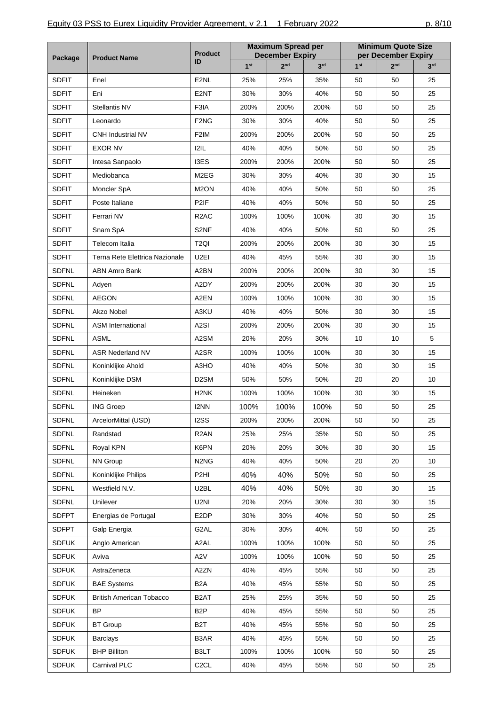|              |                                 | <b>Product</b>                |      | <b>Maximum Spread per</b><br><b>December Expiry</b><br>1 <sup>st</sup><br>2 <sub>nd</sub><br>25%<br>25%<br>30%<br>30%<br>200%<br>200%<br>30%<br>30%<br>200%<br>200%<br>40%<br>40%<br>200%<br>200%<br>30%<br>30%<br>40%<br>40%<br>40%<br>40%<br>100%<br>100%<br>40%<br>40%<br>200%<br>200%<br>40%<br>45%<br>200%<br>200%<br>200%<br>200%<br>100%<br>100%<br>40%<br>40%<br>200%<br>200%<br>20%<br>20%<br>100%<br>100%<br>40%<br>40%<br>50%<br>50%<br>100%<br>100%<br>100%<br>100%<br>200%<br>200%<br>25%<br>25%<br>20%<br>20%<br>40%<br>40%<br>40%<br>40%<br>40%<br>40%<br>20%<br>20%<br>30%<br>30%<br>30%<br>30% |                 | <b>Minimum Quote Size</b><br>per December Expiry |                 |                 |
|--------------|---------------------------------|-------------------------------|------|-----------------------------------------------------------------------------------------------------------------------------------------------------------------------------------------------------------------------------------------------------------------------------------------------------------------------------------------------------------------------------------------------------------------------------------------------------------------------------------------------------------------------------------------------------------------------------------------------------------------|-----------------|--------------------------------------------------|-----------------|-----------------|
| Package      | <b>Product Name</b>             | ID                            |      |                                                                                                                                                                                                                                                                                                                                                                                                                                                                                                                                                                                                                 | 3 <sup>rd</sup> | 1 <sup>st</sup>                                  | 2 <sub>nd</sub> | 3 <sup>rd</sup> |
| <b>SDFIT</b> | Enel                            | E2NL                          |      |                                                                                                                                                                                                                                                                                                                                                                                                                                                                                                                                                                                                                 | 35%             | 50                                               | 50              | 25              |
| <b>SDFIT</b> | Eni                             | E <sub>2</sub> NT             |      |                                                                                                                                                                                                                                                                                                                                                                                                                                                                                                                                                                                                                 | 40%             | 50                                               | 50              | 25              |
| <b>SDFIT</b> | Stellantis NV                   | F3IA                          |      |                                                                                                                                                                                                                                                                                                                                                                                                                                                                                                                                                                                                                 | 200%            | 50                                               | 50              | 25              |
| <b>SDFIT</b> | Leonardo                        | F <sub>2</sub> N <sub>G</sub> |      |                                                                                                                                                                                                                                                                                                                                                                                                                                                                                                                                                                                                                 | 40%             | 50                                               | 50              | 25              |
| <b>SDFIT</b> | <b>CNH Industrial NV</b>        | F <sub>2</sub> IM             |      |                                                                                                                                                                                                                                                                                                                                                                                                                                                                                                                                                                                                                 | 200%            | 50                                               | 50              | 25              |
| <b>SDFIT</b> | <b>EXOR NV</b>                  | 121L                          |      |                                                                                                                                                                                                                                                                                                                                                                                                                                                                                                                                                                                                                 | 50%             | 50                                               | 50              | 25              |
| <b>SDFIT</b> | Intesa Sanpaolo                 | I3ES                          |      |                                                                                                                                                                                                                                                                                                                                                                                                                                                                                                                                                                                                                 | 200%            | 50                                               | 50              | 25              |
| <b>SDFIT</b> | Mediobanca                      | M2EG                          |      |                                                                                                                                                                                                                                                                                                                                                                                                                                                                                                                                                                                                                 | 40%             | 30                                               | 30              | 15              |
| <b>SDFIT</b> | Moncler SpA                     | M <sub>2</sub> ON             |      |                                                                                                                                                                                                                                                                                                                                                                                                                                                                                                                                                                                                                 | 50%             | 50                                               | 50              | 25              |
| <b>SDFIT</b> | Poste Italiane                  | P2IF                          |      |                                                                                                                                                                                                                                                                                                                                                                                                                                                                                                                                                                                                                 | 50%             | 50                                               | 50              | 25              |
| <b>SDFIT</b> | Ferrari NV                      | R <sub>2</sub> AC             |      |                                                                                                                                                                                                                                                                                                                                                                                                                                                                                                                                                                                                                 | 100%            | 30                                               | 30              | 15              |
| <b>SDFIT</b> | Snam SpA                        | S2NF                          |      |                                                                                                                                                                                                                                                                                                                                                                                                                                                                                                                                                                                                                 | 50%             | 50                                               | 50              | 25              |
| <b>SDFIT</b> | Telecom Italia                  | T <sub>2QI</sub>              |      |                                                                                                                                                                                                                                                                                                                                                                                                                                                                                                                                                                                                                 | 200%            | 30                                               | 30              | 15              |
| <b>SDFIT</b> | Terna Rete Elettrica Nazionale  | U <sub>2EI</sub>              |      |                                                                                                                                                                                                                                                                                                                                                                                                                                                                                                                                                                                                                 | 55%             | 30                                               | 30              | 15              |
| <b>SDFNL</b> | <b>ABN Amro Bank</b>            | A2BN                          |      |                                                                                                                                                                                                                                                                                                                                                                                                                                                                                                                                                                                                                 | 200%            | 30                                               | 30              | 15              |
| <b>SDFNL</b> | Adyen                           | A2DY                          |      |                                                                                                                                                                                                                                                                                                                                                                                                                                                                                                                                                                                                                 | 200%            | 30                                               | 30              | 15              |
| <b>SDFNL</b> | <b>AEGON</b>                    | A2EN                          |      |                                                                                                                                                                                                                                                                                                                                                                                                                                                                                                                                                                                                                 | 100%            | 30                                               | 30              | 15              |
| <b>SDFNL</b> | Akzo Nobel                      | A3KU                          |      |                                                                                                                                                                                                                                                                                                                                                                                                                                                                                                                                                                                                                 | 50%             | 30                                               | 30              | 15              |
| <b>SDFNL</b> | <b>ASM International</b>        | A <sub>2</sub> SI             |      |                                                                                                                                                                                                                                                                                                                                                                                                                                                                                                                                                                                                                 | 200%            | 30                                               | 30              | 15              |
| <b>SDFNL</b> | <b>ASML</b>                     | A2SM                          |      |                                                                                                                                                                                                                                                                                                                                                                                                                                                                                                                                                                                                                 | 30%             | 10                                               | 10              | 5               |
| <b>SDFNL</b> | <b>ASR Nederland NV</b>         | A2SR                          |      |                                                                                                                                                                                                                                                                                                                                                                                                                                                                                                                                                                                                                 | 100%            | 30                                               | 30              | 15              |
| <b>SDFNL</b> | Koninklijke Ahold               | A3HO                          |      |                                                                                                                                                                                                                                                                                                                                                                                                                                                                                                                                                                                                                 | 50%             | 30                                               | 30              | 15              |
| <b>SDFNL</b> | Koninklijke DSM                 | D <sub>2</sub> SM             |      |                                                                                                                                                                                                                                                                                                                                                                                                                                                                                                                                                                                                                 | 50%             | 20                                               | 20              | 10              |
| <b>SDFNL</b> | Heineken                        | H <sub>2NK</sub>              |      |                                                                                                                                                                                                                                                                                                                                                                                                                                                                                                                                                                                                                 | 100%            | 30                                               | 30              | 15              |
| <b>SDFNL</b> | <b>ING Groep</b>                | I2NN                          |      |                                                                                                                                                                                                                                                                                                                                                                                                                                                                                                                                                                                                                 | 100%            | 50                                               | 50              | 25              |
| <b>SDFNL</b> | ArcelorMittal (USD)             | I2SS                          |      |                                                                                                                                                                                                                                                                                                                                                                                                                                                                                                                                                                                                                 | 200%            | 50                                               | 50              | 25              |
| <b>SDFNL</b> | Randstad                        | R <sub>2</sub> AN             |      |                                                                                                                                                                                                                                                                                                                                                                                                                                                                                                                                                                                                                 | 35%             | 50                                               | 50              | 25              |
| <b>SDFNL</b> | Royal KPN                       | K6PN                          |      |                                                                                                                                                                                                                                                                                                                                                                                                                                                                                                                                                                                                                 | 30%             | 30                                               | 30              | 15              |
| <b>SDFNL</b> | NN Group                        | N <sub>2</sub> N <sub>G</sub> |      |                                                                                                                                                                                                                                                                                                                                                                                                                                                                                                                                                                                                                 | 50%             | 20                                               | 20              | 10              |
| <b>SDFNL</b> | Koninklijke Philips             | P <sub>2HI</sub>              |      |                                                                                                                                                                                                                                                                                                                                                                                                                                                                                                                                                                                                                 | 50%             | 50                                               | 50              | 25              |
| <b>SDFNL</b> | Westfield N.V.                  | U2BL                          |      |                                                                                                                                                                                                                                                                                                                                                                                                                                                                                                                                                                                                                 | 50%             | 30                                               | 30              | 15              |
| <b>SDFNL</b> | Unilever                        | U2NI                          |      |                                                                                                                                                                                                                                                                                                                                                                                                                                                                                                                                                                                                                 | 30%             | 30                                               | 30              | 15              |
| <b>SDFPT</b> | Energias de Portugal            | E <sub>2</sub> DP             |      |                                                                                                                                                                                                                                                                                                                                                                                                                                                                                                                                                                                                                 | 40%             | 50                                               | 50              | 25              |
| <b>SDFPT</b> | Galp Energia                    | G2AL                          |      |                                                                                                                                                                                                                                                                                                                                                                                                                                                                                                                                                                                                                 | 40%             | 50                                               | 50              | 25              |
| <b>SDFUK</b> | Anglo American                  | A <sub>2</sub> AL             | 100% | 100%                                                                                                                                                                                                                                                                                                                                                                                                                                                                                                                                                                                                            | 100%            | 50                                               | 50              | 25              |
| <b>SDFUK</b> | Aviva                           | A2V                           | 100% | 100%                                                                                                                                                                                                                                                                                                                                                                                                                                                                                                                                                                                                            | 100%            | 50                                               | 50              | 25              |
| <b>SDFUK</b> | AstraZeneca                     | A2ZN                          | 40%  | 45%                                                                                                                                                                                                                                                                                                                                                                                                                                                                                                                                                                                                             | 55%             | 50                                               | 50              | 25              |
| <b>SDFUK</b> | <b>BAE Systems</b>              | B <sub>2</sub> A              | 40%  | 45%                                                                                                                                                                                                                                                                                                                                                                                                                                                                                                                                                                                                             | 55%             | 50                                               | 50              | 25              |
| <b>SDFUK</b> | <b>British American Tobacco</b> | B <sub>2</sub> AT             | 25%  | 25%                                                                                                                                                                                                                                                                                                                                                                                                                                                                                                                                                                                                             | 35%             | 50                                               | 50              | 25              |
| <b>SDFUK</b> | <b>BP</b>                       | B <sub>2</sub> P              | 40%  | 45%                                                                                                                                                                                                                                                                                                                                                                                                                                                                                                                                                                                                             | 55%             | 50                                               | 50              | 25              |
| <b>SDFUK</b> | <b>BT</b> Group                 | B <sub>2</sub> T              | 40%  | 45%                                                                                                                                                                                                                                                                                                                                                                                                                                                                                                                                                                                                             | 55%             | 50                                               | 50              | 25              |
| <b>SDFUK</b> | <b>Barclays</b>                 | B3AR                          | 40%  | 45%                                                                                                                                                                                                                                                                                                                                                                                                                                                                                                                                                                                                             | 55%             | 50                                               | 50              | 25              |
| <b>SDFUK</b> | <b>BHP Billiton</b>             | B3LT                          | 100% | 100%                                                                                                                                                                                                                                                                                                                                                                                                                                                                                                                                                                                                            | 100%            | 50                                               | 50              | 25              |
| <b>SDFUK</b> | Carnival PLC                    | C <sub>2</sub> CL             | 40%  | 45%                                                                                                                                                                                                                                                                                                                                                                                                                                                                                                                                                                                                             | 55%             | 50                                               | 50              | 25              |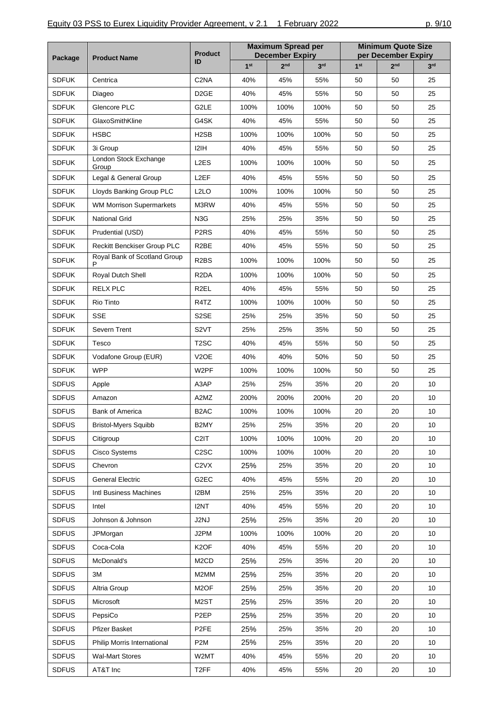| Package      | <b>Product Name</b>             | <b>Product</b><br>ID | <b>Maximum Spread per</b><br><b>December Expiry</b> |                 |                 | <b>Minimum Quote Size</b><br>per December Expiry |                 |                 |
|--------------|---------------------------------|----------------------|-----------------------------------------------------|-----------------|-----------------|--------------------------------------------------|-----------------|-----------------|
|              |                                 |                      | 1 <sup>st</sup>                                     | 2 <sub>nd</sub> | 3 <sup>rd</sup> | 1 <sup>st</sup>                                  | 2 <sub>nd</sub> | 3 <sup>rd</sup> |
| <b>SDFUK</b> | Centrica                        | C <sub>2</sub> NA    | 40%                                                 | 45%             | 55%             | 50                                               | 50              | 25              |
| <b>SDFUK</b> | Diageo                          | D <sub>2</sub> GE    | 40%                                                 | 45%             | 55%             | 50                                               | 50              | 25              |
| <b>SDFUK</b> | Glencore PLC                    | G2LE                 | 100%                                                | 100%            | 100%            | 50                                               | 50              | 25              |
| <b>SDFUK</b> | GlaxoSmithKline                 | G4SK                 | 40%                                                 | 45%             | 55%             | 50                                               | 50              | 25              |
| <b>SDFUK</b> | <b>HSBC</b>                     | H <sub>2</sub> SB    | 100%                                                | 100%            | 100%            | 50                                               | 50              | 25              |
| <b>SDFUK</b> | 3i Group                        | 12IH                 | 40%                                                 | 45%             | 55%             | 50                                               | 50              | 25              |
| <b>SDFUK</b> | London Stock Exchange<br>Group  | L <sub>2</sub> ES    | 100%                                                | 100%            | 100%            | 50                                               | 50              | 25              |
| <b>SDFUK</b> | Legal & General Group           | L <sub>2</sub> EF    | 40%                                                 | 45%             | 55%             | 50                                               | 50              | 25              |
| <b>SDFUK</b> | Lloyds Banking Group PLC        | L <sub>2</sub> LO    | 100%                                                | 100%            | 100%            | 50                                               | 50              | 25              |
| <b>SDFUK</b> | <b>WM Morrison Supermarkets</b> | M3RW                 | 40%                                                 | 45%             | 55%             | 50                                               | 50              | 25              |
| <b>SDFUK</b> | <b>National Grid</b>            | N <sub>3</sub> G     | 25%                                                 | 25%             | 35%             | 50                                               | 50              | 25              |
| <b>SDFUK</b> | Prudential (USD)                | P <sub>2</sub> RS    | 40%                                                 | 45%             | 55%             | 50                                               | 50              | 25              |
| <b>SDFUK</b> | Reckitt Benckiser Group PLC     | R <sub>2</sub> BE    | 40%                                                 | 45%             | 55%             | 50                                               | 50              | 25              |
| <b>SDFUK</b> | Royal Bank of Scotland Group    | R <sub>2</sub> BS    | 100%                                                | 100%            | 100%            | 50                                               | 50              | 25              |
| <b>SDFUK</b> | P<br>Royal Dutch Shell          | R <sub>2</sub> DA    | 100%                                                | 100%            | 100%            | 50                                               | 50              | 25              |
| <b>SDFUK</b> | <b>RELX PLC</b>                 | R <sub>2</sub> EL    | 40%                                                 | 45%             | 55%             | 50                                               | 50              | 25              |
| <b>SDFUK</b> | Rio Tinto                       | R4TZ                 | 100%                                                | 100%            | 100%            | 50                                               | 50              | 25              |
| <b>SDFUK</b> | <b>SSE</b>                      | S <sub>2</sub> SE    | 25%                                                 | 25%             | 35%             | 50                                               | 50              | 25              |
| <b>SDFUK</b> | Severn Trent                    | S <sub>2</sub> VT    | 25%                                                 | 25%             | 35%             | 50                                               | 50              | 25              |
| <b>SDFUK</b> | Tesco                           | T <sub>2</sub> SC    | 40%                                                 | 45%             | 55%             | 50                                               | 50              | 25              |
| <b>SDFUK</b> | Vodafone Group (EUR)            | V <sub>2</sub> OE    | 40%                                                 | 40%             | 50%             | 50                                               | 50              | 25              |
| <b>SDFUK</b> | <b>WPP</b>                      | W2PF                 | 100%                                                | 100%            | 100%            | 50                                               | 50              | 25              |
| <b>SDFUS</b> | Apple                           | A3AP                 | 25%                                                 | 25%             | 35%             | 20                                               | 20              | 10              |
| <b>SDFUS</b> | Amazon                          | A2MZ                 | 200%                                                | 200%            | 200%            | 20                                               | 20              | 10              |
| <b>SDFUS</b> | <b>Bank of America</b>          | B <sub>2</sub> AC    | 100%                                                | 100%            | 100%            | 20                                               | 20              | 10              |
| <b>SDFUS</b> | <b>Bristol-Myers Squibb</b>     | B2MY                 | 25%                                                 | 25%             | 35%             | 20                                               | 20              | 10              |
| <b>SDFUS</b> | Citigroup                       | C <sub>2</sub> IT    | 100%                                                | 100%            | 100%            | 20                                               | 20              | 10              |
| <b>SDFUS</b> | Cisco Systems                   | C <sub>2</sub> SC    | 100%                                                | 100%            | 100%            | 20                                               | 20              | 10              |
| <b>SDFUS</b> | Chevron                         | C <sub>2</sub> VX    | 25%                                                 | 25%             | 35%             | 20                                               | 20              | 10              |
| <b>SDFUS</b> | <b>General Electric</b>         | G2EC                 | 40%                                                 | 45%             | 55%             | 20                                               | 20              | 10              |
| <b>SDFUS</b> | Intl Business Machines          | I2BM                 | 25%                                                 | 25%             | 35%             | 20                                               | 20              | 10              |
| <b>SDFUS</b> | Intel                           | I2NT                 | 40%                                                 | 45%             | 55%             | 20                                               | 20              | 10              |
| <b>SDFUS</b> | Johnson & Johnson               | J2NJ                 | 25%                                                 | 25%             | 35%             | 20                                               | 20              | 10              |
| <b>SDFUS</b> | JPMorgan                        | J2PM                 | 100%                                                | 100%            | 100%            | 20                                               | 20              | 10              |
| <b>SDFUS</b> | Coca-Cola                       | K <sub>2</sub> OF    | 40%                                                 | 45%             | 55%             | 20                                               | 20              | 10              |
| <b>SDFUS</b> | McDonald's                      | M <sub>2</sub> CD    | 25%                                                 | 25%             | 35%             | 20                                               | 20              | 10              |
| <b>SDFUS</b> | 3M                              | M2MM                 | 25%                                                 | 25%             | 35%             | 20                                               | 20              | 10              |
| <b>SDFUS</b> | Altria Group                    | M <sub>2</sub> OF    | 25%                                                 | 25%             | 35%             | 20                                               | 20              | 10              |
| <b>SDFUS</b> | Microsoft                       | M2ST                 | 25%                                                 | 25%             | 35%             | 20                                               | 20              | 10              |
| <b>SDFUS</b> | PepsiCo                         | P <sub>2EP</sub>     | 25%                                                 | 25%             | 35%             | 20                                               | 20              | 10              |
| <b>SDFUS</b> | Pfizer Basket                   | P <sub>2FE</sub>     | 25%                                                 | 25%             | 35%             | 20                                               | 20              | 10              |
| <b>SDFUS</b> | Philip Morris International     | P <sub>2</sub> M     | 25%                                                 | 25%             | 35%             | 20                                               | 20              | 10              |
| <b>SDFUS</b> | Wal-Mart Stores                 | W2MT                 | 40%                                                 | 45%             | 55%             | 20                                               | 20              | 10              |
| <b>SDFUS</b> | AT&T Inc                        | T <sub>2</sub> FF    | 40%                                                 | 45%             | 55%             | 20                                               | 20              | 10              |